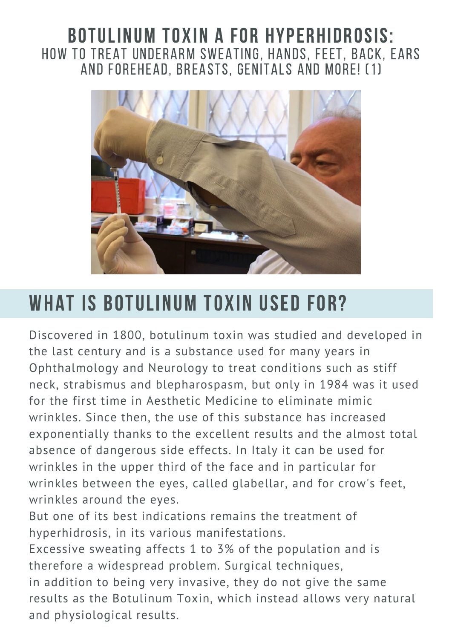#### BOTULINUM TOXIN A FOR HYPERHIDROSIS: HOW TO TREAT UNDERARM SWEATING, HANDS, FEET, BACK, EARS AND FOREHEAD, BREASTS, GENITALS AND MORE! (1)



# WHAT IS BOTULINUM TOXIN USED FOR?

Discovered in 1800, botulinum toxin was studied and developed in the last century and is a substance used for many years in Ophthalmology and Neurology to treat conditions such as stiff neck, strabismus and blepharospasm, but only in 1984 was it used for the first time in Aesthetic Medicine to eliminate mimic wrinkles. Since then, the use of this substance has increased exponentially thanks to the excellent results and the almost total absence of dangerous side effects. In Italy it can be used for wrinkles in the upper third of the face and in particular for wrinkles between the eyes, called glabellar, and for crow's feet, wrinkles around the eyes.

But one of its best indications remains the treatment of hyperhidrosis, in its various manifestations.

Excessive sweating affects 1 to 3% of the population and is therefore a widespread problem. Surgical techniques, in addition to being very invasive, they do not give the same results as the Botulinum Toxin, which instead allows very natural and physiological results.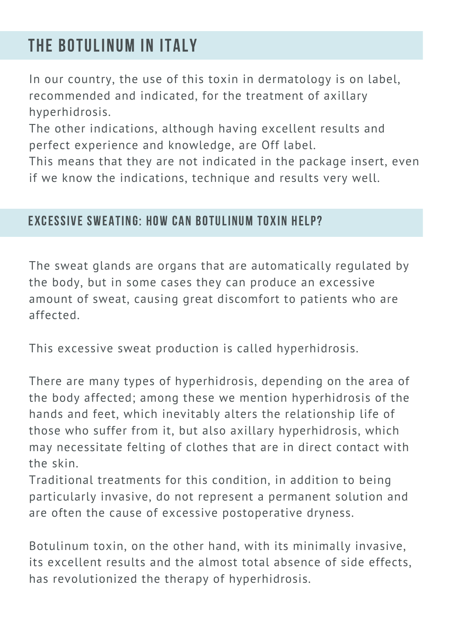### THE BOTULINUM IN ITALY

In our country, the use of this toxin in dermatology is on label, recommended and indicated, for the treatment of axillary hyperhidrosis.

The other indications, although having excellent results and perfect experience and knowledge, are Off label.

This means that they are not indicated in the package insert, even if we know the indications, technique and results very well.

#### EXCESSIVE SWEATING: HOW CAN BOTULINUM TOXIN HELP?

The sweat glands are organs that are automatically regulated by the body, but in some cases they can produce an excessive amount of sweat, causing great discomfort to patients who are affected.

This excessive sweat production is called hyperhidrosis.

There are many types of hyperhidrosis, depending on the area of the body affected; among these we mention hyperhidrosis of the hands and feet, which inevitably alters the relationship life of those who suffer from it, but also axillary hyperhidrosis, which may necessitate felting of clothes that are in direct contact with the skin.

Traditional treatments for this condition, in addition to being particularly invasive, do not represent a permanent solution and are often the cause of excessive postoperative dryness.

Botulinum toxin, on the other hand, with its minimally invasive, its excellent results and the almost total absence of side effects, has revolutionized the therapy of hyperhidrosis.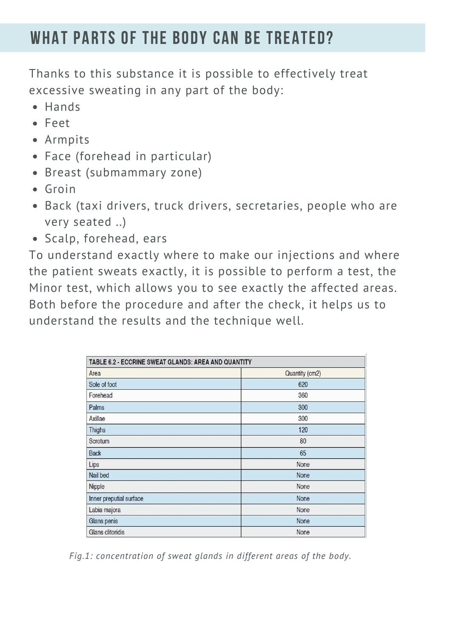### WHAT PARTS OF THE BODY CAN BE TREATED?

Thanks to this substance it is possible to effectively treat excessive sweating in any part of the body:

- Hands
- Feet
- Armpits
- Face (forehead in particular)
- Breast (submammary zone)
- Groin
- Back (taxi drivers, truck drivers, secretaries, people who are very seated ..)
- Scalp, forehead, ears

To understand exactly where to make our injections and where the patient sweats exactly, it is possible to perform a test, the Minor test, which allows you to see exactly the affected areas. Both before the procedure and after the check, it helps us to understand the results and the technique well.

| TABLE 6.2 - ECCRINE SWEAT GLANDS: AREA AND QUANTITY |                |
|-----------------------------------------------------|----------------|
| Area                                                | Quantity (cm2) |
| Sole of foot                                        | 620            |
| Forehead                                            | 360            |
| Palms                                               | 300            |
| Axillae                                             | 300            |
| <b>Thighs</b>                                       | 120            |
| Scrotum                                             | 80             |
| <b>Back</b>                                         | 65             |
| Lips                                                | None           |
| Nail bed                                            | None           |
| Nipple                                              | None           |
| Inner preputial surface                             | None           |
| Labia majora                                        | None           |
| Glans penis                                         | None           |
| Glans clitoridis                                    | None           |

*Fig.1: concentration of sweat glands in different areas of the body.*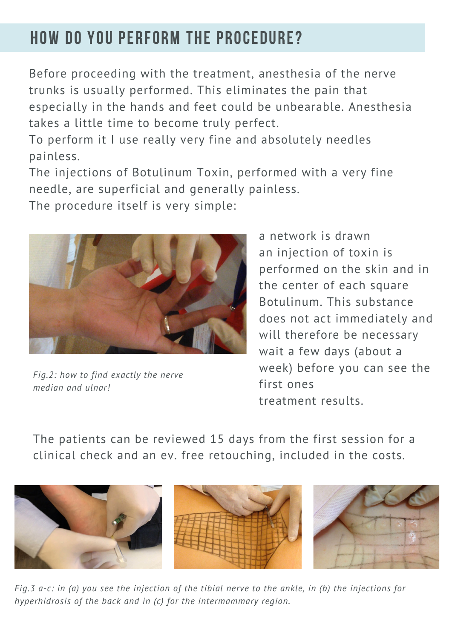## HOW DO YOU PERFORM THE PROCEDURE?

Before proceeding with the treatment, anesthesia of the nerve trunks is usually performed. This eliminates the pain that especially in the hands and feet could be unbearable. Anesthesia takes a little time to become truly perfect.

To perform it I use really very fine and absolutely needles painless.

The injections of Botulinum Toxin, performed with a very fine needle, are superficial and generally painless.

The procedure itself is very simple:



*Fig.2: how to find exactly the nerve median and ulnar!*

a network is drawn an injection of toxin is performed on the skin and in the center of each square Botulinum. This substance does not act immediately and will therefore be necessary wait a few days (about a week) before you can see the first ones treatment results.

The patients can be reviewed 15 days from the first session for a clinical check and an ev. free retouching, included in the costs.



Fig. 3 a-c: in (a) you see the injection of the tibial nerve to the ankle, in (b) the injections for *hyperhidrosis of the back and in (c) for the intermammary region.*